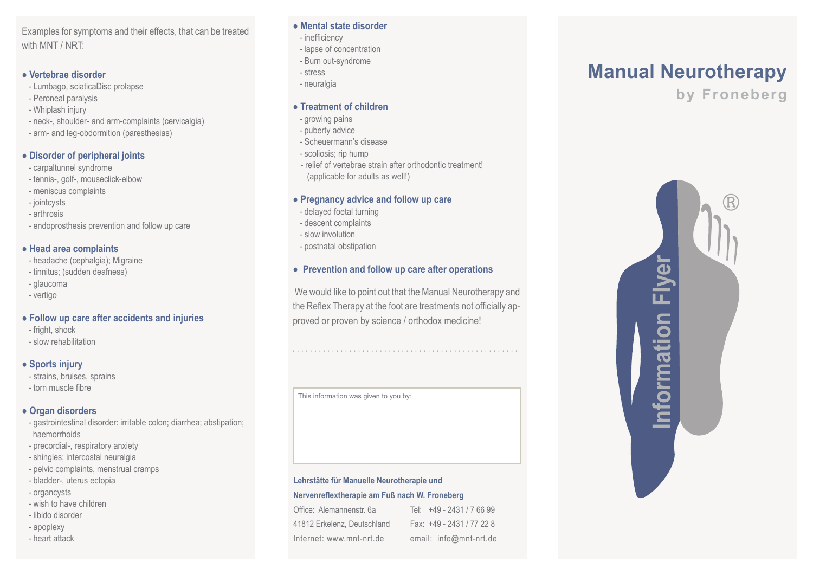Examples for symptoms and their effects, that can be treated with MNT / NRT<sup>.</sup>

#### **● Vertebrae disorder**

- Lumbago, sciaticaDisc prolapse
- Peroneal paralysis
- Whiplash injury
- neck-, shoulder- and arm-complaints (cervicalgia)
- arm- and leg-obdormition (paresthesias)

#### **● Disorder of peripheral joints**

- carpaltunnel syndrome
- tennis-, golf-, mouseclick-elbow
- meniscus complaints
- jointcysts
- arthrosis
- endoprosthesis prevention and follow up care

### **● Head area complaints**

- headache (cephalgia); Migraine
- tinnitus; (sudden deafness)
- glaucoma
- vertigo

## **● Follow up care after accidents and injuries**

- fright, shock
- slow rehabilitation

## **● Sports injury**

- strains, bruises, sprains
- torn muscle fibre

### **● Organ disorders**

- gastrointestinal disorder: irritable colon; diarrhea; abstipation; haemorrhoids
- precordial-, respiratory anxiety
- shingles; intercostal neuralgia
- pelvic complaints, menstrual cramps
- bladder-, uterus ectopia
- organcysts
- wish to have children
- libido disorder
- apoplexy
- heart attack

#### **● Mental state disorder**

- inefficiency
- lapse of concentration
- Burn out-syndrome
- stress
- neuralgia

#### **● Treatment of children**

- growing pains
- puberty advice
- Scheuermann's disease
- scoliosis; rip hump
- relief of vertebrae strain after orthodontic treatment! (applicable for adults as well!)

# **● Pregnancy advice and follow up care**

- delayed foetal turning
- descent complaints
- slow involution
- postnatal obstipation

## **● Prevention and follow up care after operations**

 We would like to point out that the Manual Neurotherapy and the Reflex Therapy at the foot are treatments not officially approved or proven by science / orthodox medicine!

This information was given to you by:

#### **Lehrstätte für Manuelle Neurotherapie und**

#### **Nervenreflextherapie am Fuß nach W. Froneberg**

| Office: Alemannenstr. 6a    | Tel: +49 - 2431 / 7 66 99 |
|-----------------------------|---------------------------|
| 41812 Erkelenz, Deutschland | Fax: +49 - 2431 / 77 22 8 |
| Internet: www.mnt-nrt.de    | email: info@mnt-nrt.de    |

# **Manual Neurotherapy**

**by Froneberg**